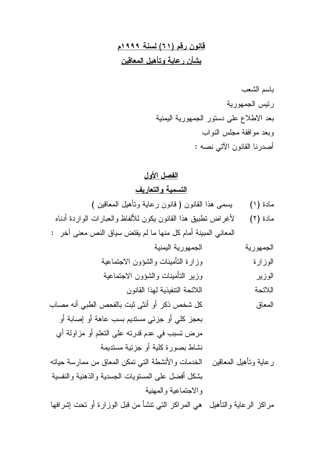# قانون رقم (٢١) لسنة ١٩٩٩م بشأن رعاية وتأهيل المعاقين

### الفصل الأول

### التسمية و التعاريف

- مادة (١) يسمى هذا القانون ( قانون رعاية وتأهيل المعاقين )
- لأغراض تطبيق هذا القانون يكون للألفاظ والعبارات الواردة أدناه مادة (٢)
- المعاني المبينة أمام كل منها ما لم يقتض سياق النص معنى آخر :

الجمهورية اليمنية الجمهورية

وزارة التأمينات والشؤون الاجتماعية الوز ار ة

- كل شخص ذكر أو أنثى ثبت بالفحص الطبي أنه مصاب المعاق بعجز كلَّى أو جزئي مستديم بسب عاهة أو إصابة أو مرض نسبب في عدم قدرته على النعلم أو مزاولة أي نشاط بصورة كلية أو جزئية مستديمة
- رعاية ونأهيل المعاقين الخدمات والأنشطة التي نمكن المعاق من ممارسة حياته بشكل أفضل على المسنوبات الجسدية والذهنية والنفسية والاجتماعية والمهنية

مر اكز الر عاية و التأهيل هي المر اكز التي نتشأ من قبل الو ز ار ة أو تحت إشر افها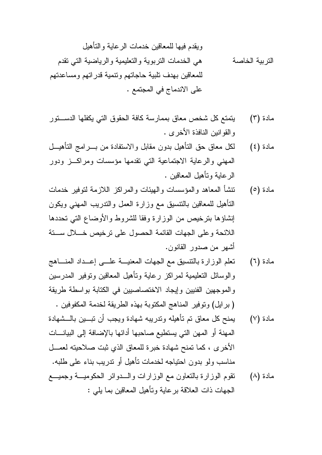ويقدم فيها للمعاقين خدمات الر عاية و التأهيل هي الخدمات النربوية والنعليمية والرياضية الني نقدم التربية الخاصة للمعاقين بهدف نلبية حاجاتهم ونتمية قدراتهم ومساعدتهم على الاندماج في المجتمع .

- يتمتع كل شخص معاق بممارسة كافة الحقوق التي يكفلها الدســـتور مادة (٣) والقوانين النافذة الأخرى .
- لكل معاق حق النأهيل بدون مقابل والاستفادة من بــــرامج النأهيــــل مادة (٤) المهنى والرعاية الاجتماعية التى نقدمها مؤسسات ومراكب ودور الر عابة وتأهبل المعاقبن .
- نتشأ المعاهد والمؤسسات والهيئات والمراكز اللازمة لنوفير خدمات مادة (٥) النأهيل للمعاقين بالنتسيق مع وزارة العمل والندريب المهنى ويكون إنشاؤها بترخيص من الوزارة وفقا للشروط والأوضاع التي تحددها اللائحة وعلى الجهات القائمة الحصول على نر خيص خـــلال ســــنة أشهر من صدور القانون.
- نعلم الوزارة بالنتسيق مع الجهات المعنيـــة علــــى إعـــداد المنــــاهج مادة (٦) والوسائل النعليمية لمراكز رعاية ونأهيل المعاقين ونوفير المدرسين والموجهين الفنيين وإيجاد الاختصاصيين في الكتابة بواسطة طريقة (برايل) ونوفير المناهج المكتوبة بهذه الطريقة لخدمة المكفوفين .
- يمنح كل معاق تم تأهيله وتدريبه شهادة ويجب أن تبسين بالسشهادة مادة (٧) المهنة أو المهن التي يستطيع صاحبها أدائها بالإضافة إلى البيانــات الأخرى ، كما تمنح شهادة خبرة للمعاق الذي ثبت صلاحيته لعمــل مناسب ولو بدون احتياجه لخدمات تأهيل أو ندريب بناء على طلبه.
- نقوم الوزارة بالنعاون مع الوزارات والسدوائر الحكوميــة وجميـــع مادة (٨) الجهات ذات العلاقة برعاية ونأهيل المعاقين بما يلي :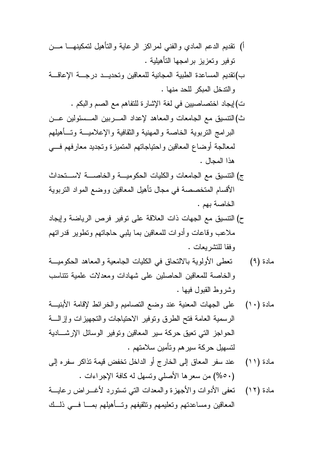- أ) نقديم الدعم المادي والفنى لمراكز الرعاية والتأهيل لتمكينهـــا مـــن نوفير وتعزيز برامجها النأهيلية .
- ب)نقديم المساعدة الطبية المجانية للمعاقين وتحديــد درجـــة الإعاقـــة والندخل المبكر للحد منها .
	- ت)إيجاد اختصاصيين في لغة الإشارة للتفاهم مع الصم والبكم .
- ث)النتسيق مع الجامعات والمعاهد لإعداد المسربين المسسئولين عــن البرامج النربوية الخاصة والمهنية والثقافية والإعلاميــة وتــأهيلهم لمعالجة أوضاع المعاقين واحتياجاتهم المتميزة وتجديد معارفهم فسي هذا المجال .
- ج) التتسبق مع الجامعات والكليات الحكومية والخاصسة لاستخداث الأقسام المتخصصة في مجال تأهيل المعاقين ووضع المواد النزبوية الخاصة بهم.
- ح) التتسيق مع الجهات ذات العلاقة على نوفير فرص الرياضة وإيجاد ملاعب وقاعات وأدوات للمعاقين بما يلبى حاجاتهم ونطوير قدراتهم وفقا للتشريعات .
- تعطي الأولوية بالالتحاق في الكليات الجامعية والمعاهد الحكوميــة مادة (۹) والخاصة للمعاقين الحاصلين على شهادات ومعدلات علمية تتناسب وشر وط القبول فبها .
- مادة (١٠) على الجهات المعنية عند وضع التصاميع والخرائط لإقامة الأبنيـــة الرسمية العامة فتح الطرق ونوفير الاحتياجات والتجهيزات وإزالسة الحو اجز التبي تعيق حركة سير المعاقين وتوفير الوسائل الإرشـــادية لتسهيل حركة سيرهم وتأمين سلامتهم .
- عند سفر المعاق إلى الخارج أو الداخل تخفض قيمة تذاكر سفره إلى مادة (١١) (٥٠-%) من سعرها الأصلبي وتسهل له كافة الإجراءات .
- نتعفى الأدوات والأجهزة والمعدات النبي تستورد لأغـــراض رعايــــة مادة (١٢) المعاقين ومساعدتهم وتعليمهم ونتثقيفهم وتسأهيلهم بمسا فسي ذلسك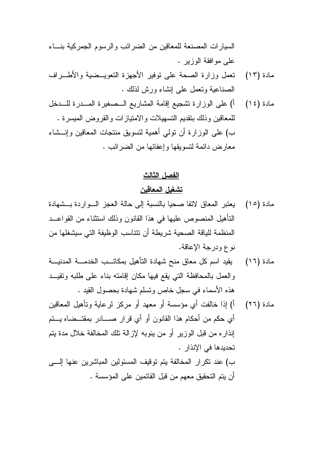السيارات المصنعة للمعاقين من الضرائب والرسوم الجمركية بنساء علي مو افقة الوزير .

- مادة (١٣) تعمل وزارة الصحة على نوفير الأجهزة النعويــضية والأطـــراف الصناعية وتعمل على إنشاء ورش لذلك .
- أ) على الوزارة نشجيع إقامة المشاريع الـــصغيرة المــــدرة للــــدخل مادة (١٤) للمعاقين وذلك بنقديم التسهيلات والامتيازات والقروض المبسرة . ب) على الوزارة أن تولَّى أهمية لنسويق منتجات المعاقين وإنـــشاء معارض دائمة لنسويقها وإعفائها من الضرائب .

الفصل الثالث

#### تشغبل المعاقبن

- مادة (١٥) بعتبر المعاق لائقا صحيا بالنسبة إلى حالة العجز الـــو ار دة بـــشهادة النَّأهيل المنصوص عليها في هذا القانون وذلك استثناء من القواعـــد المنظمة للباقة الصحبة شر بطة أن نتناسب الوظبفة التي سبشغلها من نوع ودرجة الإعاقة.
- يقيد اسم كل معاق منح شهادة التأهيل بمكاتــب الخدمـــة المدنيـــة مادة (١٦) والعمل بالمحافظة التي يقع فيها مكان إقامته بناء على طلبه وتقيــد هذه الأسماء في سجل خاص ونسلم شهادة بحصول القيد .
- أ) إذا خالفت أي مؤسسة أو معهد أو مركز لرعاية وتأهيل المعاقين مادة (٢٦) أي حكم من أحكام هذا القانون أو أي قرار صــــادر بمقتــضاه يـــتم إنذار ء من قبل الوزير أو من بنوبه لإز الة تلك المخالفة خلال مدة بنم تحديدها في الإنذار . ب) عند تكرار المخالفة يتم توقيف المسئولين المباشرين عنها إلــــى أن بِنَمِ النَّحقيقِ معهم من قبل القائمين على المؤسسة .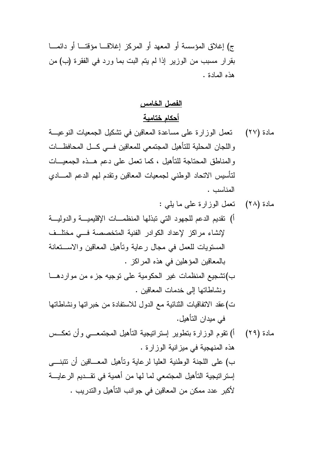ج) إغلاق المؤسسة أو المعهد أو المركز إغلاقــا مؤقتــا أو دائمـــا بقرار مسبب من الوزير إذا لم يتم البت بما ورد في الفقرة (ب) من هذه المادة .

## الفصل الخامس أحكام ختامية

- تعمل الوزارة على مساعدة المعاقين في تشكيل الجمعيات النوعيـــة مادة (۲۷) واللجان المحلية للتأهيل المجتمعي للمعاقين فسي كل المحافظات والمناطق المحتاجة للتأهيل ، كما تعمل على دعم هــذه الجمعيـــات لتأسيس الاتحاد الوطني لجمعيات المعاقين وتقدم لمهم الدعم المسادي المناسب .
- مادة (٢٨) تعمل الوزارة على ما يلي : أ) نقديم الدعم للجهود التبي نبذلها المنظمـــات الإقليميــــة والدوليــــة لإنشاء مراكز لإعداد الكوادر الفنبة المتخصصة في مختلف المستويات للعمل في مجال رعاية وتأهيل المعاقين والاستخانة بالمعاقين المؤهلين في هذه المراكز . ب)تشجيع المنظمات غير الحكومية على توجيه جزء من مواردهـــا
	- ونشاطاتها إلى خدمات المعاقين .
- ت)عقد الاتفاقيات الثنائية مع الدول للاستفادة من خبر اتها ونشاطاتها في ميدان التأهيل.
- أ) نقوم الوزارة بنطوير استراتيجية التأهيل المجتمعـــي وأن تعكـــس مادة (٢٩) هذه المنهجية في مبز انبة الوز ار ة . ب) على اللجنة الوطنية العليا لرعاية وتأهيل المعـــاقين أن نتنبنـــي إستر انبجية التأهيل المجتمعي لما لها من أهمية في تقـــديم الر عايــــة لأكبر عدد ممكن من المعاقين في جوانب التأهيل والتدريب .